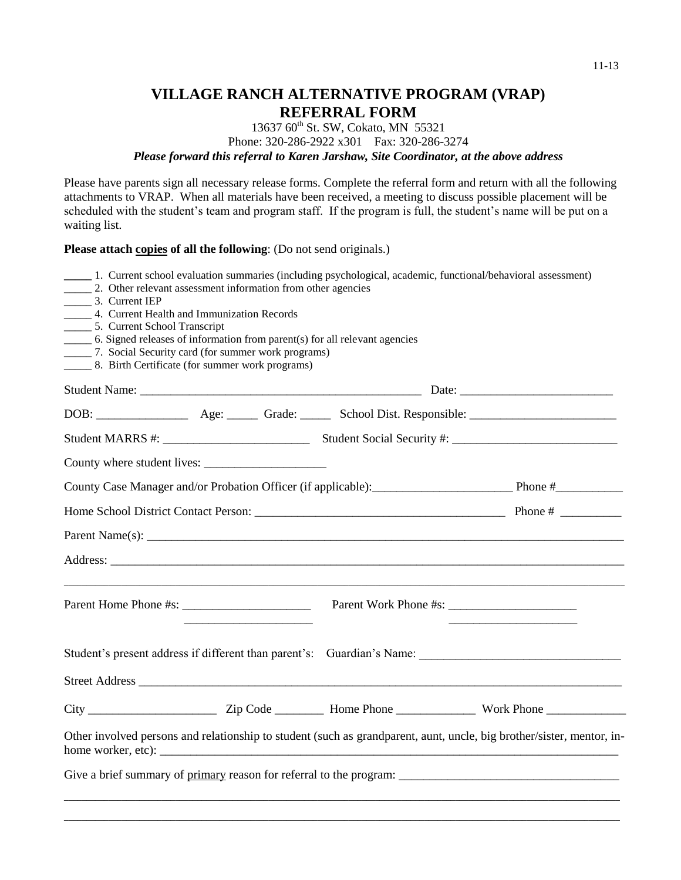## **VILLAGE RANCH ALTERNATIVE PROGRAM (VRAP) REFERRAL FORM**

## 13637 60<sup>th</sup> St. SW, Cokato, MN 55321 Phone: 320-286-2922 x301 Fax: 320-286-3274 *Please forward this referral to Karen Jarshaw, Site Coordinator, at the above address*

Please have parents sign all necessary release forms. Complete the referral form and return with all the following attachments to VRAP. When all materials have been received, a meeting to discuss possible placement will be scheduled with the student's team and program staff. If the program is full, the student's name will be put on a waiting list.

## **Please attach copies of all the following**: (Do not send originals.)

| 3. Current IEP<br>_____ 4. Current Health and Immunization Records<br>________ 5. Current School Transcript<br>______ 6. Signed releases of information from parent(s) for all relevant agencies<br>_______ 7. Social Security card (for summer work programs)<br>_______ 8. Birth Certificate (for summer work programs) | 2. Other relevant assessment information from other agencies | _____ 1. Current school evaluation summaries (including psychological, academic, functional/behavioral assessment)                                                                                                             |                                                                                                                       |
|---------------------------------------------------------------------------------------------------------------------------------------------------------------------------------------------------------------------------------------------------------------------------------------------------------------------------|--------------------------------------------------------------|--------------------------------------------------------------------------------------------------------------------------------------------------------------------------------------------------------------------------------|-----------------------------------------------------------------------------------------------------------------------|
|                                                                                                                                                                                                                                                                                                                           |                                                              |                                                                                                                                                                                                                                |                                                                                                                       |
|                                                                                                                                                                                                                                                                                                                           |                                                              |                                                                                                                                                                                                                                |                                                                                                                       |
|                                                                                                                                                                                                                                                                                                                           |                                                              |                                                                                                                                                                                                                                |                                                                                                                       |
|                                                                                                                                                                                                                                                                                                                           |                                                              |                                                                                                                                                                                                                                |                                                                                                                       |
|                                                                                                                                                                                                                                                                                                                           |                                                              |                                                                                                                                                                                                                                |                                                                                                                       |
|                                                                                                                                                                                                                                                                                                                           |                                                              |                                                                                                                                                                                                                                |                                                                                                                       |
|                                                                                                                                                                                                                                                                                                                           |                                                              | Parent Name(s): Letters and the contract of the contract of the contract of the contract of the contract of the contract of the contract of the contract of the contract of the contract of the contract of the contract of th |                                                                                                                       |
|                                                                                                                                                                                                                                                                                                                           |                                                              |                                                                                                                                                                                                                                |                                                                                                                       |
|                                                                                                                                                                                                                                                                                                                           |                                                              |                                                                                                                                                                                                                                |                                                                                                                       |
|                                                                                                                                                                                                                                                                                                                           |                                                              |                                                                                                                                                                                                                                |                                                                                                                       |
|                                                                                                                                                                                                                                                                                                                           |                                                              |                                                                                                                                                                                                                                |                                                                                                                       |
|                                                                                                                                                                                                                                                                                                                           |                                                              |                                                                                                                                                                                                                                |                                                                                                                       |
|                                                                                                                                                                                                                                                                                                                           |                                                              |                                                                                                                                                                                                                                | Other involved persons and relationship to student (such as grandparent, aunt, uncle, big brother/sister, mentor, in- |
|                                                                                                                                                                                                                                                                                                                           |                                                              |                                                                                                                                                                                                                                | Give a brief summary of primary reason for referral to the program:                                                   |
|                                                                                                                                                                                                                                                                                                                           |                                                              |                                                                                                                                                                                                                                |                                                                                                                       |

\_\_\_\_\_\_\_\_\_\_\_\_\_\_\_\_\_\_\_\_\_\_\_\_\_\_\_\_\_\_\_\_\_\_\_\_\_\_\_\_\_\_\_\_\_\_\_\_\_\_\_\_\_\_\_\_\_\_\_\_\_\_\_\_\_\_\_\_\_\_\_\_\_\_\_\_\_\_\_\_\_\_\_\_\_\_\_\_\_\_\_\_\_\_\_\_\_\_\_\_\_\_\_\_\_\_\_\_\_\_\_\_\_\_\_\_\_\_\_\_\_\_\_\_\_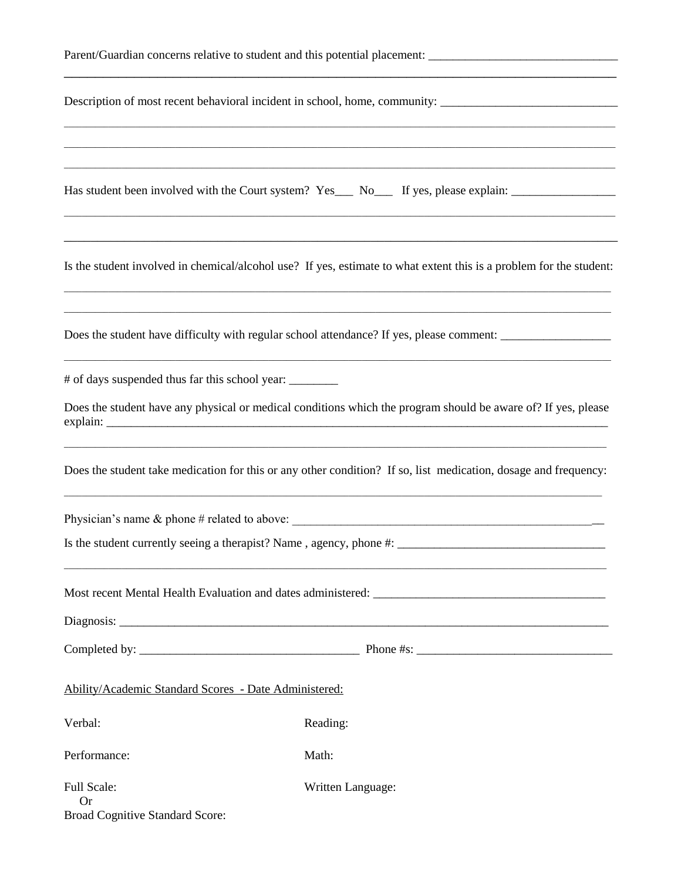|                                                                    | Parent/Guardian concerns relative to student and this potential placement: _________________________                                                                                      |
|--------------------------------------------------------------------|-------------------------------------------------------------------------------------------------------------------------------------------------------------------------------------------|
|                                                                    | Description of most recent behavioral incident in school, home, community: _________________________                                                                                      |
|                                                                    | ,我们也不能在这里的时候,我们也不能在这里的时候,我们也不能在这里的时候,我们也不能会在这里的时候,我们也不能会在这里的时候,我们也不能会在这里的时候,我们也不能<br>Has student been involved with the Court system? Yes___ No___ If yes, please explain: ______________ |
|                                                                    | Is the student involved in chemical/alcohol use? If yes, estimate to what extent this is a problem for the student:                                                                       |
|                                                                    | Does the student have difficulty with regular school attendance? If yes, please comment: _____________________                                                                            |
| # of days suspended thus far this school year:                     |                                                                                                                                                                                           |
|                                                                    | Does the student have any physical or medical conditions which the program should be aware of? If yes, please                                                                             |
|                                                                    | Does the student take medication for this or any other condition? If so, list medication, dosage and frequency:                                                                           |
|                                                                    |                                                                                                                                                                                           |
|                                                                    |                                                                                                                                                                                           |
|                                                                    |                                                                                                                                                                                           |
|                                                                    |                                                                                                                                                                                           |
|                                                                    |                                                                                                                                                                                           |
| Ability/Academic Standard Scores - Date Administered:              |                                                                                                                                                                                           |
| Verbal:                                                            | Reading:                                                                                                                                                                                  |
| Performance:                                                       | Math:                                                                                                                                                                                     |
| Full Scale:<br><b>Or</b><br><b>Broad Cognitive Standard Score:</b> | Written Language:                                                                                                                                                                         |